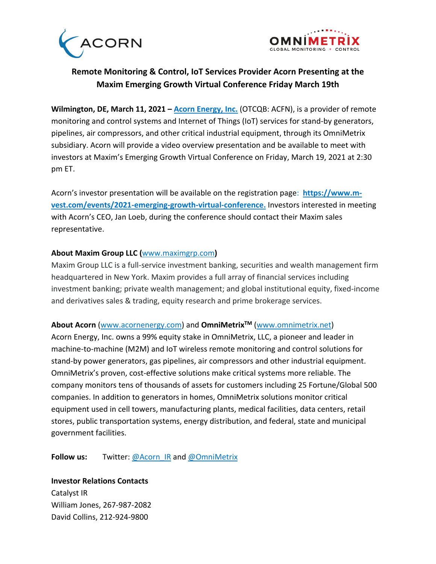



## **Remote Monitoring & Control, IoT Services Provider Acorn Presenting at the Maxim Emerging Growth Virtual Conference Friday March 19th**

**Wilmington, DE, March 11, 2021 – [Acorn Energy, Inc.](http://www.acornenergy.com/)** (OTCQB: ACFN), is a provider of remote monitoring and control systems and Internet of Things (IoT) services for stand-by generators, pipelines, air compressors, and other critical industrial equipment, through its OmniMetrix subsidiary. Acorn will provide a video overview presentation and be available to meet with investors at Maxim's Emerging Growth Virtual Conference on Friday, March 19, 2021 at 2:30 pm ET.

Acorn's investor presentation will be available on the registration page: **[https://www.m](https://www.m-vest.com/events/2021-emerging-growth-virtual-conference)[vest.com/events/2021-emerging-growth-virtual-conference.](https://www.m-vest.com/events/2021-emerging-growth-virtual-conference)** Investors interested in meeting with Acorn's CEO, Jan Loeb, during the conference should contact their Maxim sales representative.

## **About Maxim Group LLC (**[www.maximgrp.com](http://go.pardot.com/e/652223/2020-11-09/pgdmq/559343703?h=x5aY4QNFBkOYZ2BirbCy5pQmGQh-ZuVQtQHLpw2iQY8)**)**

Maxim Group LLC is a full-service investment banking, securities and wealth management firm headquartered in New York. Maxim provides a full array of financial services including investment banking; private wealth management; and global institutional equity, fixed-income and derivatives sales & trading, equity research and prime brokerage services.

## **About Acorn** [\(www.acornenergy.com\)](http://www.acornenergy.com/) and **OmniMetrixTM** [\(www.omnimetrix.net\)](http://www.omnimetrix.net/)

Acorn Energy, Inc. owns a 99% equity stake in OmniMetrix, LLC, a pioneer and leader in machine-to-machine (M2M) and IoT wireless remote monitoring and control solutions for stand-by power generators, gas pipelines, air compressors and other industrial equipment. OmniMetrix's proven, cost-effective solutions make critical systems more reliable. The company monitors tens of thousands of assets for customers including 25 Fortune/Global 500 companies. In addition to generators in homes, OmniMetrix solutions monitor critical equipment used in cell towers, manufacturing plants, medical facilities, data centers, retail stores, public transportation systems, energy distribution, and federal, state and municipal government facilities.

Follow us: Twitter: [@Acorn\\_IR](https://twitter.com/ACORN_IR) and [@OmniMetrix](https://twitter.com/OmniMetrix)

**Investor Relations Contacts** Catalyst IR William Jones, 267-987-2082 David Collins, 212-924-9800